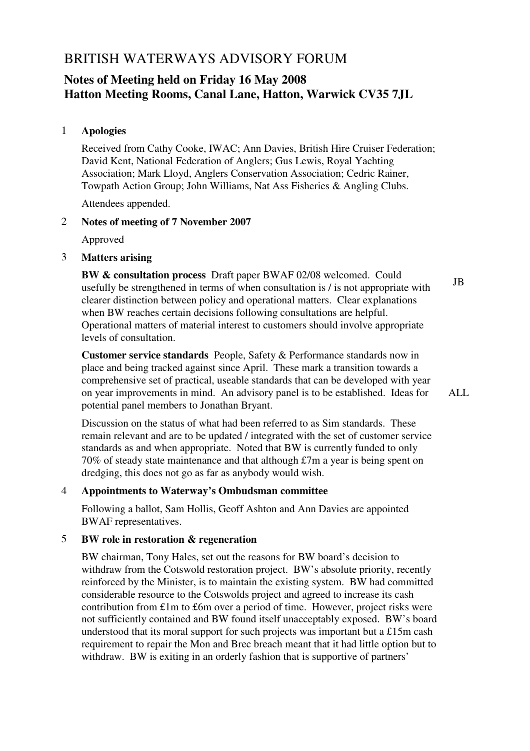# BRITISH WATERWAYS ADVISORY FORUM

# **Notes of Meeting held on Friday 16 May 2008 Hatton Meeting Rooms, Canal Lane, Hatton, Warwick CV35 7JL**

# 1 **Apologies**

Received from Cathy Cooke, IWAC; Ann Davies, British Hire Cruiser Federation; David Kent, National Federation of Anglers; Gus Lewis, Royal Yachting Association; Mark Lloyd, Anglers Conservation Association; Cedric Rainer, Towpath Action Group; John Williams, Nat Ass Fisheries & Angling Clubs.

Attendees appended.

## 2 **Notes of meeting of 7 November 2007**

Approved

3 **Matters arising**

**BW & consultation process** Draft paper BWAF 02/08 welcomed. Could usefully be strengthened in terms of when consultation is / is not appropriate with clearer distinction between policy and operational matters. Clear explanations when BW reaches certain decisions following consultations are helpful. Operational matters of material interest to customers should involve appropriate levels of consultation. JB

**Customer service standards** People, Safety & Performance standards now in place and being tracked against since April. These mark a transition towards a comprehensive set of practical, useable standards that can be developed with year on year improvements in mind. An advisory panel is to be established. Ideas for potential panel members to Jonathan Bryant.

ALL

Discussion on the status of what had been referred to as Sim standards. These remain relevant and are to be updated / integrated with the set of customer service standards as and when appropriate. Noted that BW is currently funded to only 70% of steady state maintenance and that although £7m a year is being spent on dredging, this does not go as far as anybody would wish.

# 4 **Appointments to Waterway's Ombudsman committee**

Following a ballot, Sam Hollis, Geoff Ashton and Ann Davies are appointed BWAF representatives.

# 5 **BW role in restoration & regeneration**

BW chairman, Tony Hales, set out the reasons for BW board's decision to withdraw from the Cotswold restoration project. BW's absolute priority, recently reinforced by the Minister, is to maintain the existing system. BW had committed considerable resource to the Cotswolds project and agreed to increase its cash contribution from £1m to £6m over a period of time. However, project risks were not sufficiently contained and BW found itself unacceptably exposed. BW's board understood that its moral support for such projects was important but a £15m cash requirement to repair the Mon and Brec breach meant that it had little option but to withdraw. BW is exiting in an orderly fashion that is supportive of partners'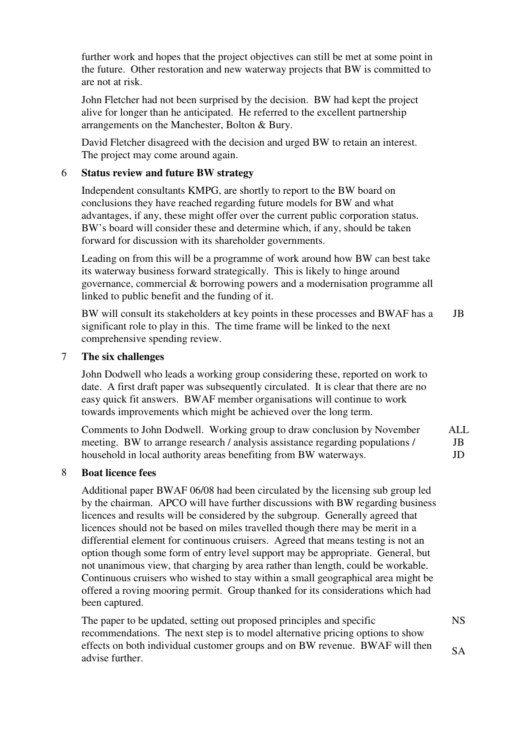further work and hopes that the project objectives can still be met at some point in the future. Other restoration and new waterway projects that BW is committed to are not at risk.

John Fletcher had not been surprised by the decision. BW had kept the project alive for longer than he anticipated. He referred to the excellent partnership arrangements on the Manchester, Bolton & Bury.

David Fletcher disagreed with the decision and urged BW to retain an interest. The project may come around again.

## 6 **Status review and future BW strategy**

Independent consultants KMPG, are shortly to report to the BW board on conclusions they have reached regarding future models for BW and what advantages, if any, these might offer over the current public corporation status. BW's board will consider these and determine which, if any, should be taken forward for discussion with its shareholder governments.

Leading on from this will be a programme of work around how BW can best take its waterway business forward strategically. This is likely to hinge around governance, commercial & borrowing powers and a modernisation programme all linked to public benefit and the funding of it.

BW will consult its stakeholders at key points in these processes and BWAF has a significant role to play in this. The time frame will be linked to the next comprehensive spending review. JB

## 7 **The six challenges**

John Dodwell who leads a working group considering these, reported on work to date. A first draft paper was subsequently circulated. It is clear that there are no easy quick fit answers. BWAF member organisations will continue to work towards improvements which might be achieved over the long term.

Comments to John Dodwell. Working group to draw conclusion by November meeting. BW to arrange research / analysis assistance regarding populations / household in local authority areas benefiting from BW waterways. ALL JB JD

#### 8 **Boat licence fees**

Additional paper BWAF 06/08 had been circulated by the licensing sub group led by the chairman. APCO will have further discussions with BW regarding business licences and results will be considered by the subgroup. Generally agreed that licences should not be based on miles travelled though there may be merit in a differential element for continuous cruisers. Agreed that means testing is not an option though some form of entry level support may be appropriate. General, but not unanimous view, that charging by area rather than length, could be workable. Continuous cruisers who wished to stay within a small geographical area might be offered a roving mooring permit. Group thanked for its considerations which had been captured.

The paper to be updated, setting out proposed principles and specific recommendations. The next step is to model alternative pricing options to show effects on both individual customer groups and on BW revenue. BWAF will then advise further. NS SA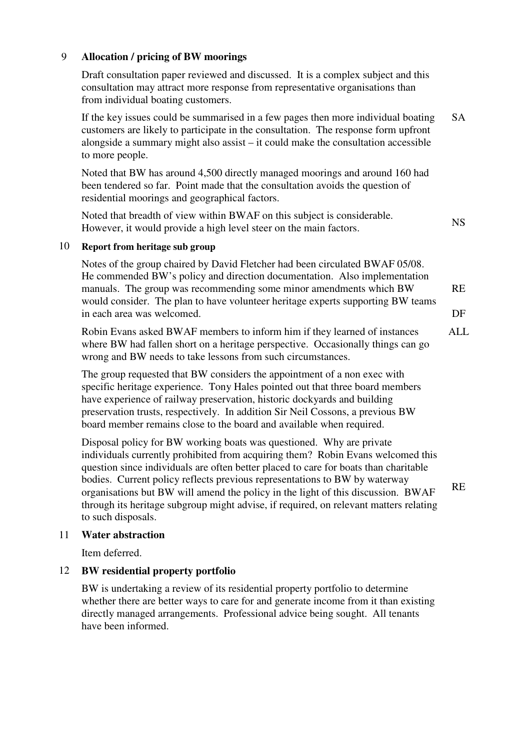## 9 **Allocation / pricing of BW moorings**

Draft consultation paper reviewed and discussed. It is a complex subject and this consultation may attract more response from representative organisations than from individual boating customers.

If the key issues could be summarised in a few pages then more individual boating customers are likely to participate in the consultation. The response form upfront alongside a summary might also assist – it could make the consultation accessible to more people. SA

Noted that BW has around 4,500 directly managed moorings and around 160 had been tendered so far. Point made that the consultation avoids the question of residential moorings and geographical factors.

Noted that breadth of view within BWAF on this subject is considerable. However, it would provide a high level steer on the main factors.

NS

#### 10 **Report from heritage sub group**

Notes of the group chaired by David Fletcher had been circulated BWAF 05/08. He commended BW's policy and direction documentation. Also implementation manuals. The group was recommending some minor amendments which BW would consider. The plan to have volunteer heritage experts supporting BW teams in each area was welcomed. RE DF

Robin Evans asked BWAF members to inform him if they learned of instances where BW had fallen short on a heritage perspective. Occasionally things can go wrong and BW needs to take lessons from such circumstances. ALL

The group requested that BW considers the appointment of a non exec with specific heritage experience. Tony Hales pointed out that three board members have experience of railway preservation, historic dockyards and building preservation trusts, respectively. In addition Sir Neil Cossons, a previous BW board member remains close to the board and available when required.

Disposal policy for BW working boats was questioned. Why are private individuals currently prohibited from acquiring them? Robin Evans welcomed this question since individuals are often better placed to care for boats than charitable bodies. Current policy reflects previous representations to BW by waterway organisations but BW will amend the policy in the light of this discussion. BWAF through its heritage subgroup might advise, if required, on relevant matters relating to such disposals. RE

#### 11 **Water abstraction**

Item deferred.

### 12 **BW residential property portfolio**

BW is undertaking a review of its residential property portfolio to determine whether there are better ways to care for and generate income from it than existing directly managed arrangements. Professional advice being sought. All tenants have been informed.